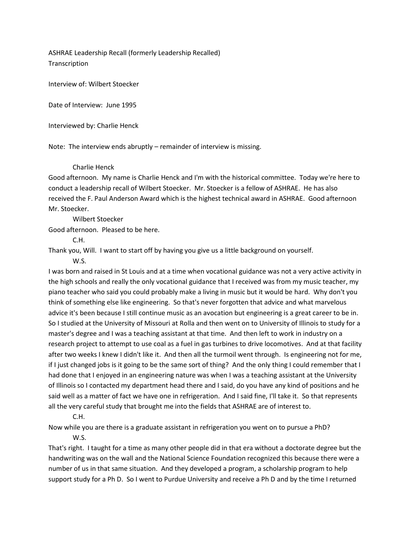ASHRAE Leadership Recall (formerly Leadership Recalled) **Transcription** 

Interview of: Wilbert Stoecker

Date of Interview: June 1995

Interviewed by: Charlie Henck

Note: The interview ends abruptly – remainder of interview is missing.

# Charlie Henck

Good afternoon. My name is Charlie Henck and I'm with the historical committee. Today we're here to conduct a leadership recall of Wilbert Stoecker. Mr. Stoecker is a fellow of ASHRAE. He has also received the F. Paul Anderson Award which is the highest technical award in ASHRAE. Good afternoon Mr. Stoecker.

Wilbert Stoecker

Good afternoon. Pleased to be here.

C.H.

Thank you, Will. I want to start off by having you give us a little background on yourself.

W.S.

I was born and raised in St Louis and at a time when vocational guidance was not a very active activity in the high schools and really the only vocational guidance that I received was from my music teacher, my piano teacher who said you could probably make a living in music but it would be hard. Why don't you think of something else like engineering. So that's never forgotten that advice and what marvelous advice it's been because I still continue music as an avocation but engineering is a great career to be in. So I studied at the University of Missouri at Rolla and then went on to University of Illinois to study for a master's degree and I was a teaching assistant at that time. And then left to work in industry on a research project to attempt to use coal as a fuel in gas turbines to drive locomotives. And at that facility after two weeks I knew I didn't like it. And then all the turmoil went through. Is engineering not for me, if I just changed jobs is it going to be the same sort of thing? And the only thing I could remember that I had done that I enjoyed in an engineering nature was when I was a teaching assistant at the University of Illinois so I contacted my department head there and I said, do you have any kind of positions and he said well as a matter of fact we have one in refrigeration. And I said fine, I'll take it. So that represents all the very careful study that brought me into the fields that ASHRAE are of interest to.

C.H.

Now while you are there is a graduate assistant in refrigeration you went on to pursue a PhD? W.S.

That's right. I taught for a time as many other people did in that era without a doctorate degree but the handwriting was on the wall and the National Science Foundation recognized this because there were a number of us in that same situation. And they developed a program, a scholarship program to help support study for a Ph D. So I went to Purdue University and receive a Ph D and by the time I returned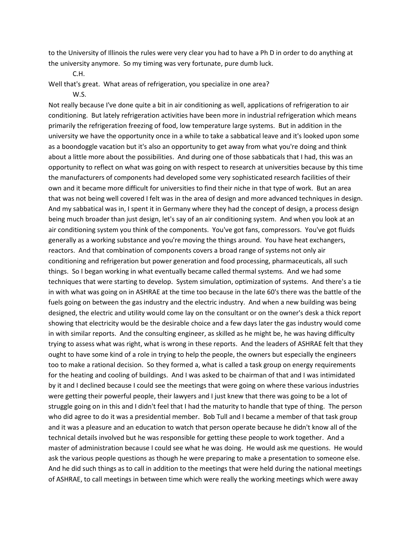to the University of Illinois the rules were very clear you had to have a Ph D in order to do anything at the university anymore. So my timing was very fortunate, pure dumb luck.

C.H.

Well that's great. What areas of refrigeration, you specialize in one area?

#### W.S.

Not really because I've done quite a bit in air conditioning as well, applications of refrigeration to air conditioning. But lately refrigeration activities have been more in industrial refrigeration which means primarily the refrigeration freezing of food, low temperature large systems. But in addition in the university we have the opportunity once in a while to take a sabbatical leave and it's looked upon some as a boondoggle vacation but it's also an opportunity to get away from what you're doing and think about a little more about the possibilities. And during one of those sabbaticals that I had, this was an opportunity to reflect on what was going on with respect to research at universities because by this time the manufacturers of components had developed some very sophisticated research facilities of their own and it became more difficult for universities to find their niche in that type of work. But an area that was not being well covered I felt was in the area of design and more advanced techniques in design. And my sabbatical was in, I spent it in Germany where they had the concept of design, a process design being much broader than just design, let's say of an air conditioning system. And when you look at an air conditioning system you think of the components. You've got fans, compressors. You've got fluids generally as a working substance and you're moving the things around. You have heat exchangers, reactors. And that combination of components covers a broad range of systems not only air conditioning and refrigeration but power generation and food processing, pharmaceuticals, all such things. So I began working in what eventually became called thermal systems. And we had some techniques that were starting to develop. System simulation, optimization of systems. And there's a tie in with what was going on in ASHRAE at the time too because in the late 60's there was the battle of the fuels going on between the gas industry and the electric industry. And when a new building was being designed, the electric and utility would come lay on the consultant or on the owner's desk a thick report showing that electricity would be the desirable choice and a few days later the gas industry would come in with similar reports. And the consulting engineer, as skilled as he might be, he was having difficulty trying to assess what was right, what is wrong in these reports. And the leaders of ASHRAE felt that they ought to have some kind of a role in trying to help the people, the owners but especially the engineers too to make a rational decision. So they formed a, what is called a task group on energy requirements for the heating and cooling of buildings. And I was asked to be chairman of that and I was intimidated by it and I declined because I could see the meetings that were going on where these various industries were getting their powerful people, their lawyers and I just knew that there was going to be a lot of struggle going on in this and I didn't feel that I had the maturity to handle that type of thing. The person who did agree to do it was a presidential member. Bob Tull and I became a member of that task group and it was a pleasure and an education to watch that person operate because he didn't know all of the technical details involved but he was responsible for getting these people to work together. And a master of administration because I could see what he was doing. He would ask me questions. He would ask the various people questions as though he were preparing to make a presentation to someone else. And he did such things as to call in addition to the meetings that were held during the national meetings of ASHRAE, to call meetings in between time which were really the working meetings which were away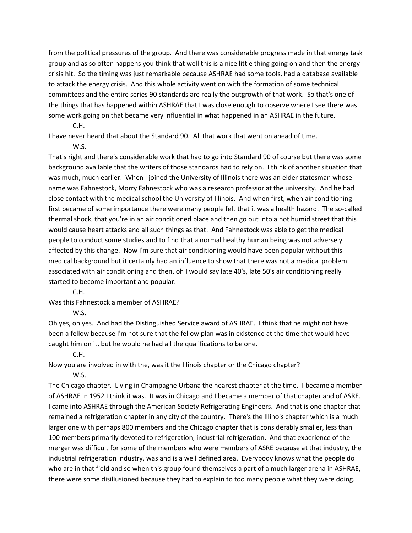from the political pressures of the group. And there was considerable progress made in that energy task group and as so often happens you think that well this is a nice little thing going on and then the energy crisis hit. So the timing was just remarkable because ASHRAE had some tools, had a database available to attack the energy crisis. And this whole activity went on with the formation of some technical committees and the entire series 90 standards are really the outgrowth of that work. So that's one of the things that has happened within ASHRAE that I was close enough to observe where I see there was some work going on that became very influential in what happened in an ASHRAE in the future.

C.H.

I have never heard that about the Standard 90. All that work that went on ahead of time.

W.S.

That's right and there's considerable work that had to go into Standard 90 of course but there was some background available that the writers of those standards had to rely on. I think of another situation that was much, much earlier. When I joined the University of Illinois there was an elder statesman whose name was Fahnestock, Morry Fahnestock who was a research professor at the university. And he had close contact with the medical school the University of Illinois. And when first, when air conditioning first became of some importance there were many people felt that it was a health hazard. The so-called thermal shock, that you're in an air conditioned place and then go out into a hot humid street that this would cause heart attacks and all such things as that. And Fahnestock was able to get the medical people to conduct some studies and to find that a normal healthy human being was not adversely affected by this change. Now I'm sure that air conditioning would have been popular without this medical background but it certainly had an influence to show that there was not a medical problem associated with air conditioning and then, oh I would say late 40's, late 50's air conditioning really started to become important and popular.

C.H.

Was this Fahnestock a member of ASHRAE?

W.S.

Oh yes, oh yes. And had the Distinguished Service award of ASHRAE. I think that he might not have been a fellow because I'm not sure that the fellow plan was in existence at the time that would have caught him on it, but he would he had all the qualifications to be one.

## C.H.

Now you are involved in with the, was it the Illinois chapter or the Chicago chapter?

W.S.

The Chicago chapter. Living in Champagne Urbana the nearest chapter at the time. I became a member of ASHRAE in 1952 I think it was. It was in Chicago and I became a member of that chapter and of ASRE. I came into ASHRAE through the American Society Refrigerating Engineers. And that is one chapter that remained a refrigeration chapter in any city of the country. There's the Illinois chapter which is a much larger one with perhaps 800 members and the Chicago chapter that is considerably smaller, less than 100 members primarily devoted to refrigeration, industrial refrigeration. And that experience of the merger was difficult for some of the members who were members of ASRE because at that industry, the industrial refrigeration industry, was and is a well defined area. Everybody knows what the people do who are in that field and so when this group found themselves a part of a much larger arena in ASHRAE, there were some disillusioned because they had to explain to too many people what they were doing.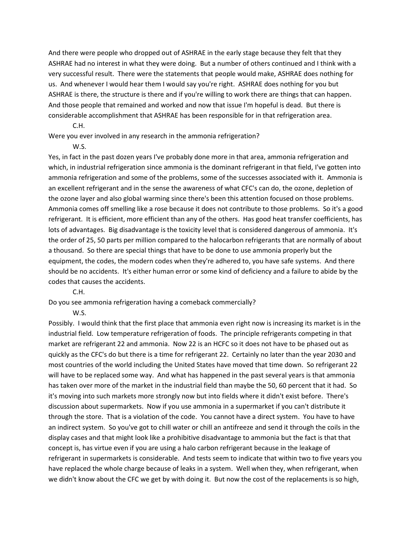And there were people who dropped out of ASHRAE in the early stage because they felt that they ASHRAE had no interest in what they were doing. But a number of others continued and I think with a very successful result. There were the statements that people would make, ASHRAE does nothing for us. And whenever I would hear them I would say you're right. ASHRAE does nothing for you but ASHRAE is there, the structure is there and if you're willing to work there are things that can happen. And those people that remained and worked and now that issue I'm hopeful is dead. But there is considerable accomplishment that ASHRAE has been responsible for in that refrigeration area.

C.H.

Were you ever involved in any research in the ammonia refrigeration?

W.S.

Yes, in fact in the past dozen years I've probably done more in that area, ammonia refrigeration and which, in industrial refrigeration since ammonia is the dominant refrigerant in that field, I've gotten into ammonia refrigeration and some of the problems, some of the successes associated with it. Ammonia is an excellent refrigerant and in the sense the awareness of what CFC's can do, the ozone, depletion of the ozone layer and also global warming since there's been this attention focused on those problems. Ammonia comes off smelling like a rose because it does not contribute to those problems. So it's a good refrigerant. It is efficient, more efficient than any of the others. Has good heat transfer coefficients, has lots of advantages. Big disadvantage is the toxicity level that is considered dangerous of ammonia. It's the order of 25, 50 parts per million compared to the halocarbon refrigerants that are normally of about a thousand. So there are special things that have to be done to use ammonia properly but the equipment, the codes, the modern codes when they're adhered to, you have safe systems. And there should be no accidents. It's either human error or some kind of deficiency and a failure to abide by the codes that causes the accidents.

C.H.

Do you see ammonia refrigeration having a comeback commercially?

W.S.

Possibly. I would think that the first place that ammonia even right now is increasing its market is in the industrial field. Low temperature refrigeration of foods. The principle refrigerants competing in that market are refrigerant 22 and ammonia. Now 22 is an HCFC so it does not have to be phased out as quickly as the CFC's do but there is a time for refrigerant 22. Certainly no later than the year 2030 and most countries of the world including the United States have moved that time down. So refrigerant 22 will have to be replaced some way. And what has happened in the past several years is that ammonia has taken over more of the market in the industrial field than maybe the 50, 60 percent that it had. So it's moving into such markets more strongly now but into fields where it didn't exist before. There's discussion about supermarkets. Now if you use ammonia in a supermarket if you can't distribute it through the store. That is a violation of the code. You cannot have a direct system. You have to have an indirect system. So you've got to chill water or chill an antifreeze and send it through the coils in the display cases and that might look like a prohibitive disadvantage to ammonia but the fact is that that concept is, has virtue even if you are using a halo carbon refrigerant because in the leakage of refrigerant in supermarkets is considerable. And tests seem to indicate that within two to five years you have replaced the whole charge because of leaks in a system. Well when they, when refrigerant, when we didn't know about the CFC we get by with doing it. But now the cost of the replacements is so high,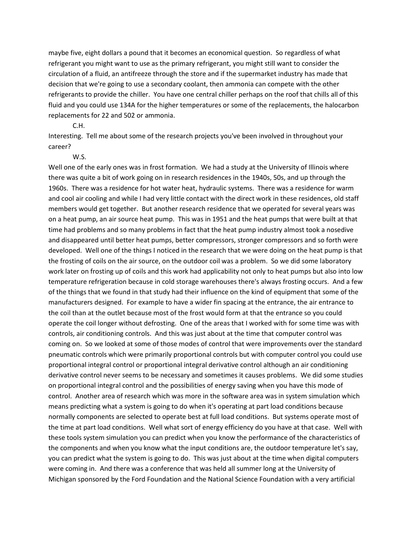maybe five, eight dollars a pound that it becomes an economical question. So regardless of what refrigerant you might want to use as the primary refrigerant, you might still want to consider the circulation of a fluid, an antifreeze through the store and if the supermarket industry has made that decision that we're going to use a secondary coolant, then ammonia can compete with the other refrigerants to provide the chiller. You have one central chiller perhaps on the roof that chills all of this fluid and you could use 134A for the higher temperatures or some of the replacements, the halocarbon replacements for 22 and 502 or ammonia.

### C.H.

Interesting. Tell me about some of the research projects you've been involved in throughout your career?

#### W.S.

Well one of the early ones was in frost formation. We had a study at the University of Illinois where there was quite a bit of work going on in research residences in the 1940s, 50s, and up through the 1960s. There was a residence for hot water heat, hydraulic systems. There was a residence for warm and cool air cooling and while I had very little contact with the direct work in these residences, old staff members would get together. But another research residence that we operated for several years was on a heat pump, an air source heat pump. This was in 1951 and the heat pumps that were built at that time had problems and so many problems in fact that the heat pump industry almost took a nosedive and disappeared until better heat pumps, better compressors, stronger compressors and so forth were developed. Well one of the things I noticed in the research that we were doing on the heat pump is that the frosting of coils on the air source, on the outdoor coil was a problem. So we did some laboratory work later on frosting up of coils and this work had applicability not only to heat pumps but also into low temperature refrigeration because in cold storage warehouses there's always frosting occurs. And a few of the things that we found in that study had their influence on the kind of equipment that some of the manufacturers designed. For example to have a wider fin spacing at the entrance, the air entrance to the coil than at the outlet because most of the frost would form at that the entrance so you could operate the coil longer without defrosting. One of the areas that I worked with for some time was with controls, air conditioning controls. And this was just about at the time that computer control was coming on. So we looked at some of those modes of control that were improvements over the standard pneumatic controls which were primarily proportional controls but with computer control you could use proportional integral control or proportional integral derivative control although an air conditioning derivative control never seems to be necessary and sometimes it causes problems. We did some studies on proportional integral control and the possibilities of energy saving when you have this mode of control. Another area of research which was more in the software area was in system simulation which means predicting what a system is going to do when it's operating at part load conditions because normally components are selected to operate best at full load conditions. But systems operate most of the time at part load conditions. Well what sort of energy efficiency do you have at that case. Well with these tools system simulation you can predict when you know the performance of the characteristics of the components and when you know what the input conditions are, the outdoor temperature let's say, you can predict what the system is going to do. This was just about at the time when digital computers were coming in. And there was a conference that was held all summer long at the University of Michigan sponsored by the Ford Foundation and the National Science Foundation with a very artificial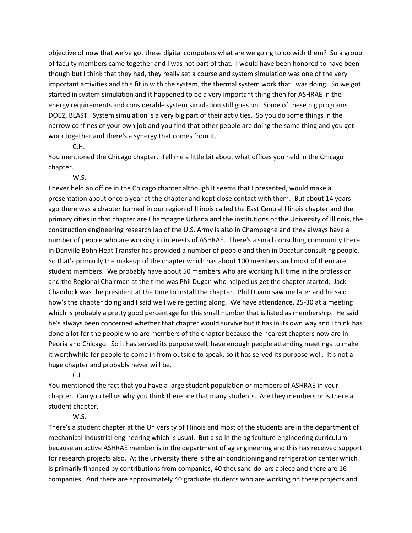objective of now that we've got these digital computers what are we going to do with them? So a group of faculty members came together and I was not part of that. I would have been honored to have been though but I think that they had, they really set a course and system simulation was one of the very important activities and this fit in with the system, the thermal system work that I was doing. So we got started in system simulation and it happened to be a very important thing then for ASHRAE in the energy requirements and considerable system simulation still goes on. Some of these big programs DOE2, BLAST. System simulation is a very big part of their activities. So you do some things in the narrow confines of your own job and you find that other people are doing the same thing and you get work together and there's a synergy that comes from it.

C.H.

You mentioned the Chicago chapter. Tell me a little bit about what offices you held in the Chicago chapter.

W.S.

I never held an office in the Chicago chapter although it seems that I presented, would make a presentation about once a year at the chapter and kept close contact with them. But about 14 years ago there was a chapter formed in our region of Illinois called the East Central Illinois chapter and the primary cities in that chapter are Champagne Urbana and the institutions or the University of Illinois, the construction engineering research lab of the U.S. Army is also in Champagne and they always have a number of people who are working in interests of ASHRAE. There's a small consulting community there in Danville Bohn Heat Transfer has provided a number of people and then in Decatur consulting people. So that's primarily the makeup of the chapter which has about 100 members and most of them are student members. We probably have about 50 members who are working full time in the profession and the Regional Chairman at the time was Phil Dugan who helped us get the chapter started. Jack Chaddock was the president at the time to install the chapter. Phil Duann saw me later and he said how's the chapter doing and I said well we're getting along. We have attendance, 25-30 at a meeting which is probably a pretty good percentage for this small number that is listed as membership. He said he's always been concerned whether that chapter would survive but it has in its own way and I think has done a lot for the people who are members of the chapter because the nearest chapters now are in Peoria and Chicago. So it has served its purpose well, have enough people attending meetings to make it worthwhile for people to come in from outside to speak, so it has served its purpose well. It's not a huge chapter and probably never will be.

C.H.

You mentioned the fact that you have a large student population or members of ASHRAE in your chapter. Can you tell us why you think there are that many students. Are they members or is there a student chapter.

## W.S.

There's a student chapter at the University of Illinois and most of the students are in the department of mechanical industrial engineering which is usual. But also in the agriculture engineering curriculum because an active ASHRAE member is in the department of ag engineering and this has received support for research projects also. At the university there is the air conditioning and refrigeration center which is primarily financed by contributions from companies, 40 thousand dollars apiece and there are 16 companies. And there are approximately 40 graduate students who are working on these projects and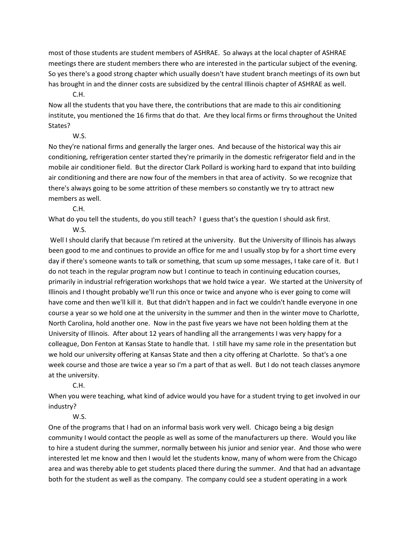most of those students are student members of ASHRAE. So always at the local chapter of ASHRAE meetings there are student members there who are interested in the particular subject of the evening. So yes there's a good strong chapter which usually doesn't have student branch meetings of its own but has brought in and the dinner costs are subsidized by the central Illinois chapter of ASHRAE as well.

C.H.

Now all the students that you have there, the contributions that are made to this air conditioning institute, you mentioned the 16 firms that do that. Are they local firms or firms throughout the United States?

W.S.

No they're national firms and generally the larger ones. And because of the historical way this air conditioning, refrigeration center started they're primarily in the domestic refrigerator field and in the mobile air conditioner field. But the director Clark Pollard is working hard to expand that into building air conditioning and there are now four of the members in that area of activity. So we recognize that there's always going to be some attrition of these members so constantly we try to attract new members as well.

C.H.

What do you tell the students, do you still teach? I guess that's the question I should ask first.

W.S.

Well I should clarify that because I'm retired at the university. But the University of Illinois has always been good to me and continues to provide an office for me and I usually stop by for a short time every day if there's someone wants to talk or something, that scum up some messages, I take care of it. But I do not teach in the regular program now but I continue to teach in continuing education courses, primarily in industrial refrigeration workshops that we hold twice a year. We started at the University of Illinois and I thought probably we'll run this once or twice and anyone who is ever going to come will have come and then we'll kill it. But that didn't happen and in fact we couldn't handle everyone in one course a year so we hold one at the university in the summer and then in the winter move to Charlotte, North Carolina, hold another one. Now in the past five years we have not been holding them at the University of Illinois. After about 12 years of handling all the arrangements I was very happy for a colleague, Don Fenton at Kansas State to handle that. I still have my same role in the presentation but we hold our university offering at Kansas State and then a city offering at Charlotte. So that's a one week course and those are twice a year so I'm a part of that as well. But I do not teach classes anymore at the university.

C.H.

When you were teaching, what kind of advice would you have for a student trying to get involved in our industry?

W.S.

One of the programs that I had on an informal basis work very well. Chicago being a big design community I would contact the people as well as some of the manufacturers up there. Would you like to hire a student during the summer, normally between his junior and senior year. And those who were interested let me know and then I would let the students know, many of whom were from the Chicago area and was thereby able to get students placed there during the summer. And that had an advantage both for the student as well as the company. The company could see a student operating in a work